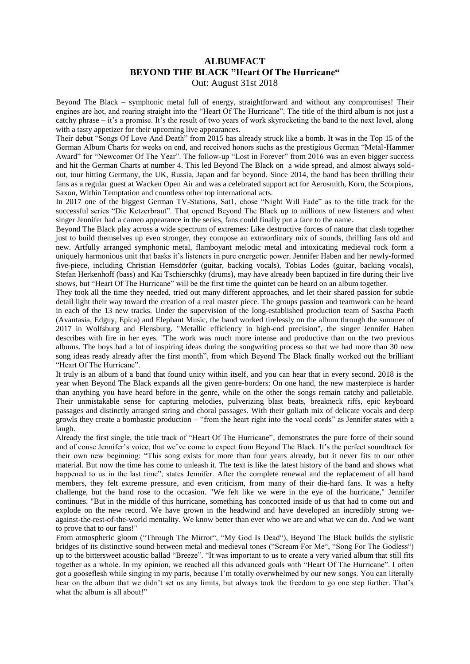## **ALBUMFACT BEYOND THE BLACK "Heart Of The Hurricane"** Out: August 31st 2018

Beyond The Black – symphonic metal full of energy, straightforward and without any compromises! Their engines are hot, and roaring straight into the "Heart Of The Hurricane". The title of the third album is not just a catchy phrase – it's a promise. It's the result of two years of work skyrocketing the band to the next level, along with a tasty appetizer for their upcoming live appearances.

Their debut "Songs Of Love And Death" from 2015 has already struck like a bomb. It was in the Top 15 of the German Album Charts for weeks on end, and received honors suchs as the prestigious German "Metal-Hammer Award" for "Newcomer Of The Year". The follow-up "Lost in Forever" from 2016 was an even bigger success and hit the German Charts at number 4. This led Beyond The Black on a wide spread, and almost always soldout, tour hitting Germany, the UK, Russia, Japan and far beyond. Since 2014, the band has been thrilling their fans as a regular guest at Wacken Open Air and was a celebrated support act for Aerosmith, Korn, the Scorpions, Saxon, Within Temptation and countless other top international acts.

In 2017 one of the biggest German TV-Stations, Sat1, chose "Night Will Fade" as to the title track for the successful series "Die Ketzerbraut". That opened Beyond The Black up to millions of new listeners and when singer Jennifer had a cameo appearance in the series, fans could finally put a face to the name.

Beyond The Black play across a wide spectrum of extremes: Like destructive forces of nature that clash together just to build themselves up even stronger, they compose an extraordinary mix of sounds, thrilling fans old and new. Artfully arranged symphonic metal, flamboyant melodic metal and intoxicating medieval rock form a uniquely harmonious unit that basks it's listeners in pure energetic power. Jennifer Haben and her newly-formed five-piece, including Christian Hemsdörfer (guitar, backing vocals), Tobias Lodes (guitar, backing vocals), Stefan Herkenhoff (bass) and Kai Tschierschky (drums), may have already been baptized in fire during their live shows, but "Heart Of The Hurricane" will be the first time the quintet can be heard on an album together.

They took all the time they needed, tried out many different approaches, and let their shared passion for subtle detail light their way toward the creation of a real master piece. The groups passion and teamwork can be heard in each of the 13 new tracks. Under the supervision of the long-established production team of Sascha Paeth (Avantasia, Edguy, Epica) and Elephant Music, the band worked tirelessly on the album through the summer of 2017 in Wolfsburg and Flensburg. "Metallic efficiency in high-end precision", the singer Jennifer Haben describes with fire in her eyes. "The work was much more intense and productive than on the two previous albums. The boys had a lot of inspiring ideas during the songwriting process so that we had more than 30 new song ideas ready already after the first month", from which Beyond The Black finally worked out the brilliant "Heart Of The Hurricane".

It truly is an album of a band that found unity within itself, and you can hear that in every second. 2018 is the year when Beyond The Black expands all the given genre-borders: On one hand, the new masterpiece is harder than anything you have heard before in the genre, while on the other the songs remain catchy and palletable. Their unmistakable sense for capturing melodies, pulverizing blast beats, breakneck riffs, epic keyboard passages and distinctly arranged string and choral passages. With their goliath mix of delicate vocals and deep growls they create a bombastic production – "from the heart right into the vocal cords" as Jennifer states with a laugh.

Already the first single, the title track of "Heart Of The Hurricane", demonstrates the pure force of their sound and of couse Jennifer's voice, that we've come to expect from Beyond The Black. It's the perfect soundtrack for their own new beginning: "This song exists for more than four years already, but it never fits to our other material. But now the time has come to unleash it. The text is like the latest history of the band and shows what happened to us in the last time", states Jennifer. After the complete renewal and the replacement of all band members, they felt extreme pressure, and even criticism, from many of their die-hard fans. It was a hefty challenge, but the band rose to the occasion. "We felt like we were in the eye of the hurricane," Jennifer continues. "But in the middle of this hurricane, something has concocted inside of us that had to come out and explode on the new record. We have grown in the headwind and have developed an incredibly strong weagainst-the-rest-of-the-world mentality. We know better than ever who we are and what we can do. And we want to prove that to our fans!"

From atmospheric gloom ("Through The Mirror", "My God Is Dead"), Beyond The Black builds the stylistic bridges of its distinctive sound between metal and medieval tones ("Scream For Me", "Song For The Godless") up to the bittersweet acoustic ballad "Breeze". "It was important to us to create a very varied album that still fits together as a whole. In my opinion, we reached all this advanced goals with "Heart Of The Hurricane". I often got a gooseflesh while singing in my parts, because I'm totally overwhelmed by our new songs. You can literally hear on the album that we didn't set us any limits, but always took the freedom to go one step further. That's what the album is all about!"